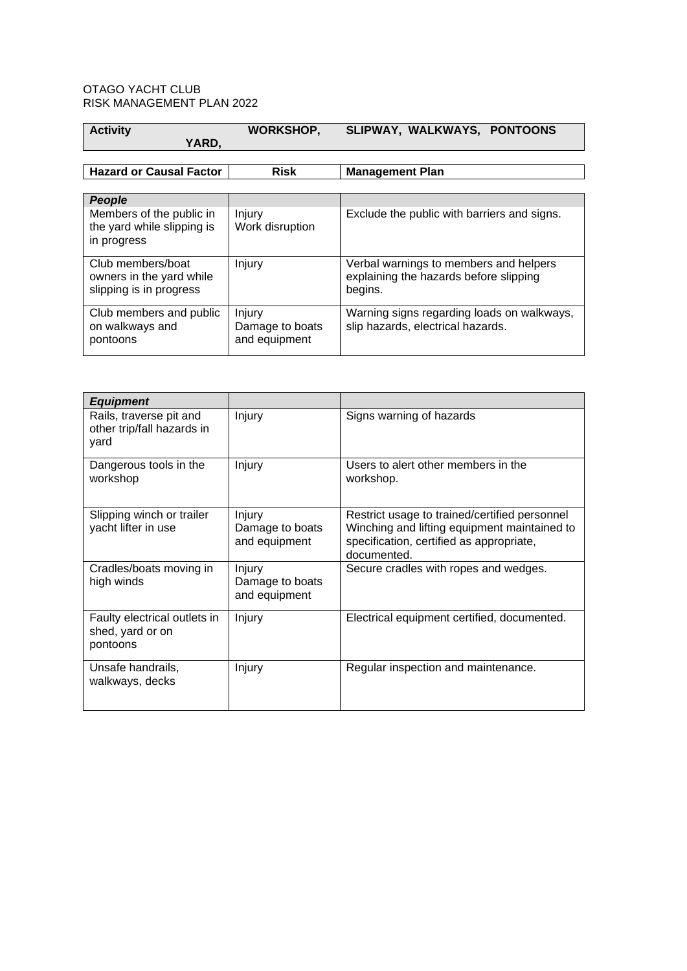## OTAGO YACHT CLUB RISK MANAGEMENT PLAN 2022

| <b>Activity</b> |       | <b>WORKSHOP,</b> | SLIPWAY, WALKWAYS, PONTOONS |  |
|-----------------|-------|------------------|-----------------------------|--|
|                 | YARD. |                  |                             |  |

## **Hazard or Causal Factor Risk Management Plan**

| People                                                                   |                                            |                                                                                             |
|--------------------------------------------------------------------------|--------------------------------------------|---------------------------------------------------------------------------------------------|
| Members of the public in<br>the yard while slipping is<br>in progress    | Injury<br>Work disruption                  | Exclude the public with barriers and signs.                                                 |
| Club members/boat<br>owners in the yard while<br>slipping is in progress | Injury                                     | Verbal warnings to members and helpers<br>explaining the hazards before slipping<br>begins. |
| Club members and public<br>on walkways and<br>pontoons                   | Injury<br>Damage to boats<br>and equipment | Warning signs regarding loads on walkways,<br>slip hazards, electrical hazards.             |

| <b>Equipment</b>                                              |                                                   |                                                                                                                                                          |
|---------------------------------------------------------------|---------------------------------------------------|----------------------------------------------------------------------------------------------------------------------------------------------------------|
| Rails, traverse pit and<br>other trip/fall hazards in<br>yard | Injury                                            | Signs warning of hazards                                                                                                                                 |
| Dangerous tools in the<br>workshop                            | Injury                                            | Users to alert other members in the<br>workshop.                                                                                                         |
| Slipping winch or trailer<br>yacht lifter in use              | <b>Injury</b><br>Damage to boats<br>and equipment | Restrict usage to trained/certified personnel<br>Winching and lifting equipment maintained to<br>specification, certified as appropriate,<br>documented. |
| Cradles/boats moving in<br>high winds                         | Injury<br>Damage to boats<br>and equipment        | Secure cradles with ropes and wedges.                                                                                                                    |
| Faulty electrical outlets in<br>shed, yard or on<br>pontoons  | Injury                                            | Electrical equipment certified, documented.                                                                                                              |
| Unsafe handrails,<br>walkways, decks                          | Injury                                            | Regular inspection and maintenance.                                                                                                                      |